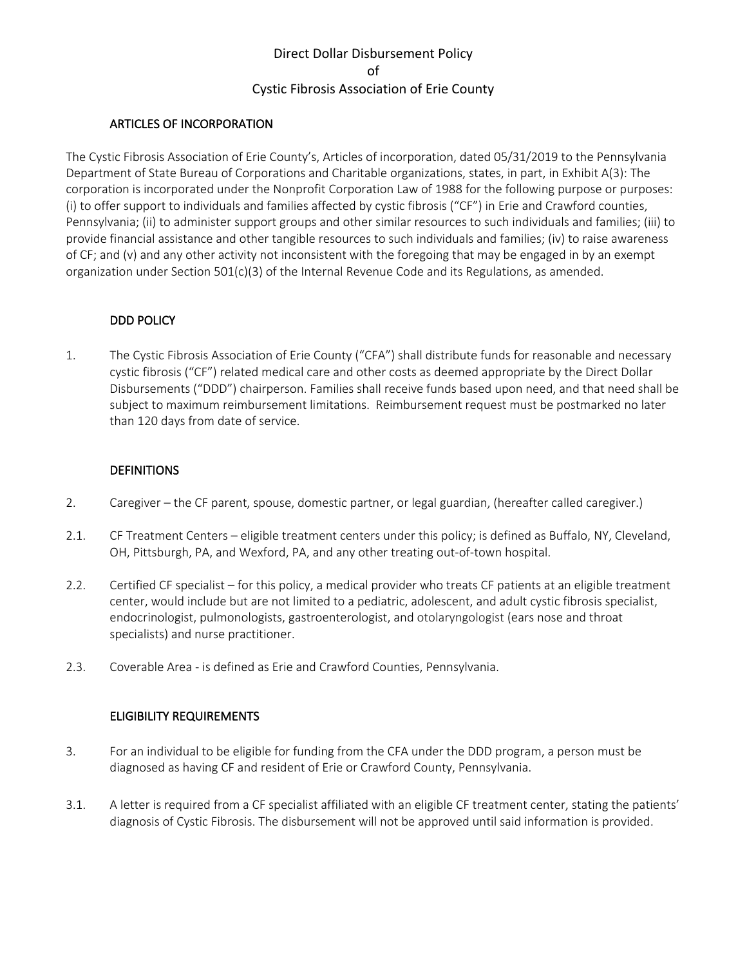# Direct Dollar Disbursement Policy of Cystic Fibrosis Association of Erie County

#### ARTICLES OF INCORPORATION

The Cystic Fibrosis Association of Erie County's, Articles of incorporation, dated 05/31/2019 to the Pennsylvania Department of State Bureau of Corporations and Charitable organizations, states, in part, in Exhibit A(3): The corporation is incorporated under the Nonprofit Corporation Law of 1988 for the following purpose or purposes: (i) to offer support to individuals and families affected by cystic fibrosis ("CF") in Erie and Crawford counties, Pennsylvania; (ii) to administer support groups and other similar resources to such individuals and families; (iii) to provide financial assistance and other tangible resources to such individuals and families; (iv) to raise awareness of CF; and (v) and any other activity not inconsistent with the foregoing that may be engaged in by an exempt organization under Section 501(c)(3) of the Internal Revenue Code and its Regulations, as amended.

#### DDD POLICY

1. The Cystic Fibrosis Association of Erie County ("CFA") shall distribute funds for reasonable and necessary cystic fibrosis ("CF") related medical care and other costs as deemed appropriate by the Direct Dollar Disbursements ("DDD") chairperson. Families shall receive funds based upon need, and that need shall be subject to maximum reimbursement limitations. Reimbursement request must be postmarked no later than 120 days from date of service.

### **DEFINITIONS**

- 2. Caregiver the CF parent, spouse, domestic partner, or legal guardian, (hereafter called caregiver.)
- 2.1. CF Treatment Centers eligible treatment centers under this policy; is defined as Buffalo, NY, Cleveland, OH, Pittsburgh, PA, and Wexford, PA, and any other treating out-of-town hospital.
- 2.2. Certified CF specialist for this policy, a medical provider who treats CF patients at an eligible treatment center, would include but are not limited to a pediatric, adolescent, and adult cystic fibrosis specialist, endocrinologist, pulmonologists, gastroenterologist, and otolaryngologist (ears nose and throat specialists) and nurse practitioner.
- 2.3. Coverable Area is defined as Erie and Crawford Counties, Pennsylvania.

### ELIGIBILITY REQUIREMENTS

- 3. For an individual to be eligible for funding from the CFA under the DDD program, a person must be diagnosed as having CF and resident of Erie or Crawford County, Pennsylvania.
- 3.1. A letter is required from a CF specialist affiliated with an eligible CF treatment center, stating the patients' diagnosis of Cystic Fibrosis. The disbursement will not be approved until said information is provided.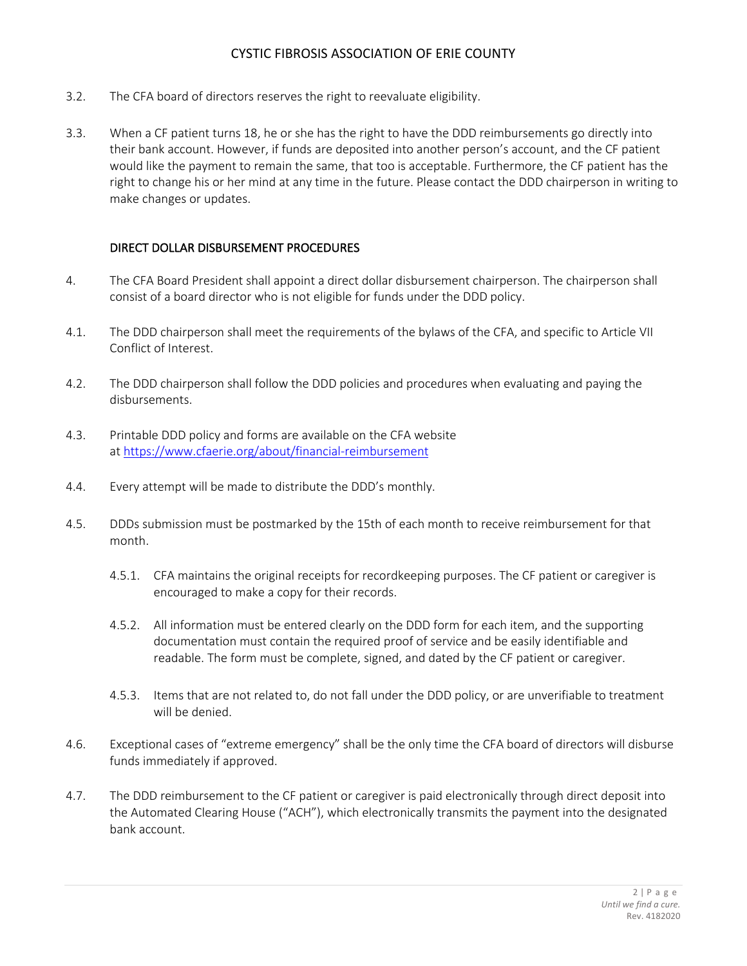## CYSTIC FIBROSIS ASSOCIATION OF ERIE COUNTY

- 3.2. The CFA board of directors reserves the right to reevaluate eligibility.
- 3.3. When a CF patient turns 18, he or she has the right to have the DDD reimbursements go directly into their bank account. However, if funds are deposited into another person's account, and the CF patient would like the payment to remain the same, that too is acceptable. Furthermore, the CF patient has the right to change his or her mind at any time in the future. Please contact the DDD chairperson in writing to make changes or updates.

### DIRECT DOLLAR DISBURSEMENT PROCEDURES

- 4. The CFA Board President shall appoint a direct dollar disbursement chairperson. The chairperson shall consist of a board director who is not eligible for funds under the DDD policy.
- 4.1. The DDD chairperson shall meet the requirements of the bylaws of the CFA, and specific to Article VII Conflict of Interest.
- 4.2. The DDD chairperson shall follow the DDD policies and procedures when evaluating and paying the disbursements.
- 4.3. Printable DDD policy and forms are available on the CFA website at https://www.cfaerie.org/about/financial-reimbursement
- 4.4. Every attempt will be made to distribute the DDD's monthly.
- 4.5. DDDs submission must be postmarked by the 15th of each month to receive reimbursement for that month.
	- 4.5.1. CFA maintains the original receipts for recordkeeping purposes. The CF patient or caregiver is encouraged to make a copy for their records.
	- 4.5.2. All information must be entered clearly on the DDD form for each item, and the supporting documentation must contain the required proof of service and be easily identifiable and readable. The form must be complete, signed, and dated by the CF patient or caregiver.
	- 4.5.3. Items that are not related to, do not fall under the DDD policy, or are unverifiable to treatment will be denied.
- 4.6. Exceptional cases of "extreme emergency" shall be the only time the CFA board of directors will disburse funds immediately if approved.
- 4.7. The DDD reimbursement to the CF patient or caregiver is paid electronically through direct deposit into the Automated Clearing House ("ACH"), which electronically transmits the payment into the designated bank account.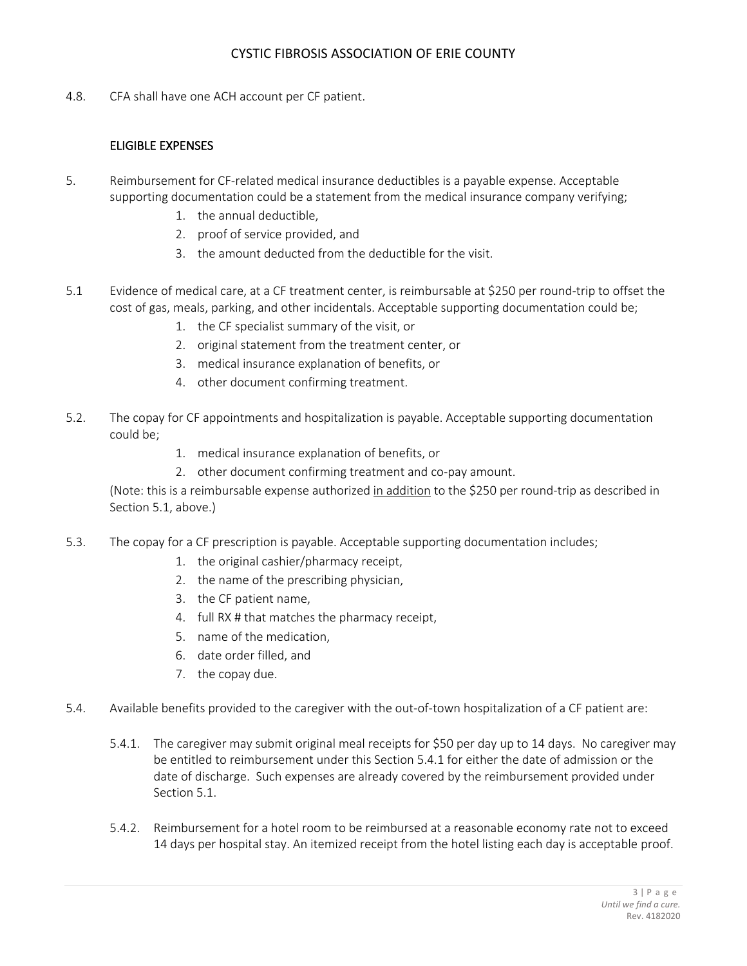## CYSTIC FIBROSIS ASSOCIATION OF ERIE COUNTY

4.8. CFA shall have one ACH account per CF patient.

### ELIGIBLE EXPENSES

- 5. Reimbursement for CF-related medical insurance deductibles is a payable expense. Acceptable supporting documentation could be a statement from the medical insurance company verifying;
	- 1. the annual deductible,
	- 2. proof of service provided, and
	- 3. the amount deducted from the deductible for the visit.
- 5.1 Evidence of medical care, at a CF treatment center, is reimbursable at \$250 per round-trip to offset the cost of gas, meals, parking, and other incidentals. Acceptable supporting documentation could be;
	- 1. the CF specialist summary of the visit, or
	- 2. original statement from the treatment center, or
	- 3. medical insurance explanation of benefits, or
	- 4. other document confirming treatment.
- 5.2. The copay for CF appointments and hospitalization is payable. Acceptable supporting documentation could be;
	- 1. medical insurance explanation of benefits, or
	- 2. other document confirming treatment and co-pay amount.

(Note: this is a reimbursable expense authorized in addition to the \$250 per round-trip as described in Section 5.1, above.)

- 5.3. The copay for a CF prescription is payable. Acceptable supporting documentation includes;
	- 1. the original cashier/pharmacy receipt,
	- 2. the name of the prescribing physician,
	- 3. the CF patient name,
	- 4. full RX # that matches the pharmacy receipt,
	- 5. name of the medication,
	- 6. date order filled, and
	- 7. the copay due.
- 5.4. Available benefits provided to the caregiver with the out-of-town hospitalization of a CF patient are:
	- 5.4.1. The caregiver may submit original meal receipts for \$50 per day up to 14 days. No caregiver may be entitled to reimbursement under this Section 5.4.1 for either the date of admission or the date of discharge. Such expenses are already covered by the reimbursement provided under Section 5.1.
	- 5.4.2. Reimbursement for a hotel room to be reimbursed at a reasonable economy rate not to exceed 14 days per hospital stay. An itemized receipt from the hotel listing each day is acceptable proof.